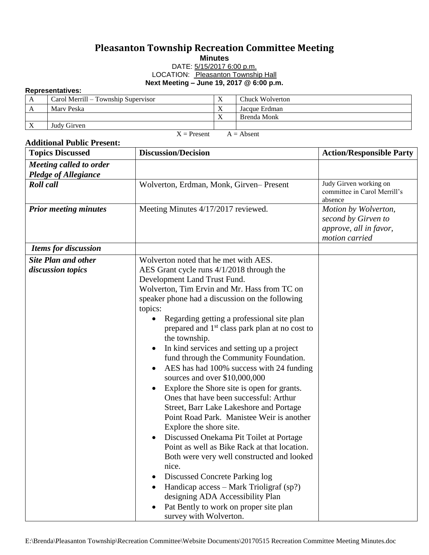## **Pleasanton Township Recreation Committee Meeting**

**Minutes**

DATE: 5/15/2017 6:00 p.m. LOCATION: Pleasanton Township Hall **Next Meeting – June 19, 2017 @ 6:00 p.m.**

## **Representatives:**

| .                             |                                     |              |                 |  |  |
|-------------------------------|-------------------------------------|--------------|-----------------|--|--|
| A                             | Carol Merrill – Township Supervisor | $\mathbf{v}$ | Chuck Wolverton |  |  |
| A                             | Mary Peska                          |              | Jacque Erdman   |  |  |
|                               |                                     | $\mathbf{v}$ | Brenda Monk     |  |  |
| X                             | Judy Girven                         |              |                 |  |  |
| $A =$ Absent<br>$X =$ Present |                                     |              |                 |  |  |

## **Additional Public Present:**

| <b>Topics Discussed</b>                                | <b>Discussion/Decision</b>                                                                                                                                                                                                                                                                                                                                                                                                                                                                                                                                                                                                                                                                                                                                                                                                                                                                                                                                                                                                                                                                                                              | <b>Action/Responsible Party</b>                                                         |
|--------------------------------------------------------|-----------------------------------------------------------------------------------------------------------------------------------------------------------------------------------------------------------------------------------------------------------------------------------------------------------------------------------------------------------------------------------------------------------------------------------------------------------------------------------------------------------------------------------------------------------------------------------------------------------------------------------------------------------------------------------------------------------------------------------------------------------------------------------------------------------------------------------------------------------------------------------------------------------------------------------------------------------------------------------------------------------------------------------------------------------------------------------------------------------------------------------------|-----------------------------------------------------------------------------------------|
| Meeting called to order<br><b>Pledge of Allegiance</b> |                                                                                                                                                                                                                                                                                                                                                                                                                                                                                                                                                                                                                                                                                                                                                                                                                                                                                                                                                                                                                                                                                                                                         |                                                                                         |
| <b>Roll</b> call                                       | Wolverton, Erdman, Monk, Girven-Present                                                                                                                                                                                                                                                                                                                                                                                                                                                                                                                                                                                                                                                                                                                                                                                                                                                                                                                                                                                                                                                                                                 | Judy Girven working on<br>committee in Carol Merrill's<br>absence                       |
| <b>Prior meeting minutes</b>                           | Meeting Minutes 4/17/2017 reviewed.                                                                                                                                                                                                                                                                                                                                                                                                                                                                                                                                                                                                                                                                                                                                                                                                                                                                                                                                                                                                                                                                                                     | Motion by Wolverton,<br>second by Girven to<br>approve, all in favor,<br>motion carried |
| <b>Items for discussion</b>                            |                                                                                                                                                                                                                                                                                                                                                                                                                                                                                                                                                                                                                                                                                                                                                                                                                                                                                                                                                                                                                                                                                                                                         |                                                                                         |
| <b>Site Plan and other</b><br>discussion topics        | Wolverton noted that he met with AES.<br>AES Grant cycle runs 4/1/2018 through the<br>Development Land Trust Fund.<br>Wolverton, Tim Ervin and Mr. Hass from TC on<br>speaker phone had a discussion on the following<br>topics:<br>Regarding getting a professional site plan<br>prepared and 1 <sup>st</sup> class park plan at no cost to<br>the township.<br>In kind services and setting up a project<br>$\bullet$<br>fund through the Community Foundation.<br>AES has had 100% success with 24 funding<br>sources and over \$10,000,000<br>Explore the Shore site is open for grants.<br>$\bullet$<br>Ones that have been successful: Arthur<br>Street, Barr Lake Lakeshore and Portage<br>Point Road Park. Manistee Weir is another<br>Explore the shore site.<br>Discussed Onekama Pit Toilet at Portage<br>$\bullet$<br>Point as well as Bike Rack at that location.<br>Both were very well constructed and looked<br>nice.<br>Discussed Concrete Parking log<br>$\bullet$<br>Handicap access – Mark Trioligraf (sp?)<br>designing ADA Accessibility Plan<br>Pat Bently to work on proper site plan<br>survey with Wolverton. |                                                                                         |